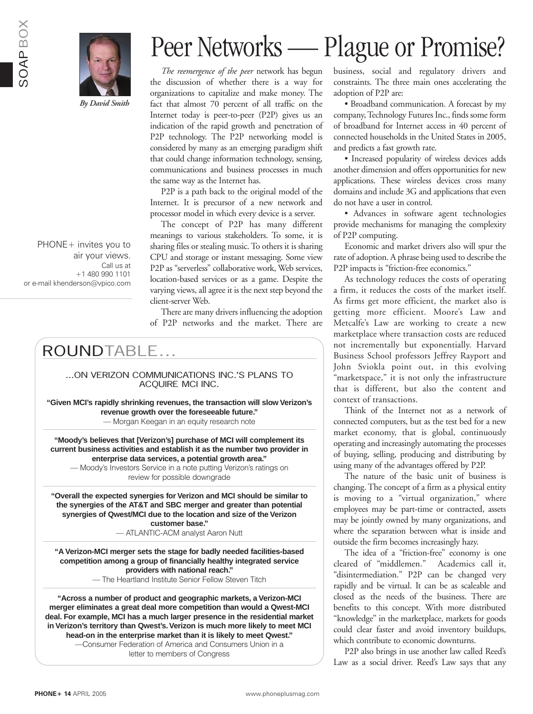



*By David Smith*

*The reemergence of the peer* network has begun the discussion of whether there is a way for organizations to capitalize and make money. The fact that almost 70 percent of all traffic on the Internet today is peer-to-peer (P2P) gives us an indication of the rapid growth and penetration of P2P technology. The P2P networking model is considered by many as an emerging paradigm shift that could change information technology, sensing, communications and business processes in much the same way as the Internet has.

P2P is a path back to the original model of the Internet. It is precursor of a new network and processor model in which every device is a server.

The concept of P2P has many different meanings to various stakeholders. To some, it is sharing files or stealing music. To others it is sharing CPU and storage or instant messaging. Some view P2P as "serverless" collaborative work, Web services, location-based services or as a game. Despite the varying views, all agree it is the next step beyond the client-server Web.

There are many drivers influencing the adoption of P2P networks and the market. There are

## ROUNDTABLE...

...ON VERIZON COMMUNICATIONS INC.'S PLANS TO ACQUIRE MCI INC.

**"Given MCI's rapidly shrinking revenues, the transaction will slow Verizon's revenue growth over the foreseeable future."** — Morgan Keegan in an equity research note

**"Moody's believes that [Verizon's] purchase of MCI will complement its current business activities and establish it as the number two provider in enterprise data services, a potential growth area."**

— Moody's Investors Service in a note putting Verizon's ratings on review for possible downgrade

**"Overall the expected synergies for Verizon and MCI should be similar to the synergies of the AT&T and SBC merger and greater than potential synergies of Qwest/MCI due to the location and size of the Verizon customer base."**

— ATLANTIC-ACM analyst Aaron Nutt

**"A Verizon-MCI merger sets the stage for badly needed facilities-based competition among a group of financially healthy integrated service providers with national reach."** — The Heartland Institute Senior Fellow Steven Titch

**"Across a number of product and geographic markets, a Verizon-MCI merger eliminates a great deal more competition than would a Qwest-MCI deal. For example, MCI has a much larger presence in the residential market in Verizon's territory than Qwest's. Verizon is much more likely to meet MCI head-on in the enterprise market than it is likely to meet Qwest."**

> —Consumer Federation of America and Consumers Union in a letter to members of Congress

# Peer Networks — Plague or Promise?

business, social and regulatory drivers and constraints. The three main ones accelerating the adoption of P2P are:

• Broadband communication. A forecast by my company, Technology Futures Inc., finds some form of broadband for Internet access in 40 percent of connected households in the United States in 2005, and predicts a fast growth rate.

• Increased popularity of wireless devices adds another dimension and offers opportunities for new applications. These wireless devices cross many domains and include 3G and applications that even do not have a user in control.

• Advances in software agent technologies provide mechanisms for managing the complexity of P2P computing.

Economic and market drivers also will spur the rate of adoption. A phrase being used to describe the P2P impacts is "friction-free economics."

As technology reduces the costs of operating a firm, it reduces the costs of the market itself. As firms get more efficient, the market also is getting more efficient. Moore's Law and Metcalfe's Law are working to create a new marketplace where transaction costs are reduced not incrementally but exponentially. Harvard Business School professors Jeffrey Rayport and John Sviokla point out, in this evolving "marketspace," it is not only the infrastructure that is different, but also the content and context of transactions.

Think of the Internet not as a network of connected computers, but as the test bed for a new market economy, that is global, continuously operating and increasingly automating the processes of buying, selling, producing and distributing by using many of the advantages offered by P2P.

The nature of the basic unit of business is changing. The concept of a firm as a physical entity is moving to a "virtual organization," where employees may be part-time or contracted, assets may be jointly owned by many organizations, and where the separation between what is inside and outside the firm becomes increasingly hazy.

The idea of a "friction-free" economy is one cleared of "middlemen." Academics call it, "disintermediation." P2P can be changed very rapidly and be virtual. It can be as scaleable and closed as the needs of the business. There are benefits to this concept. With more distributed "knowledge" in the marketplace, markets for goods could clear faster and avoid inventory buildups, which contribute to economic downturns.

P2P also brings in use another law called Reed's Law as a social driver. Reed's Law says that any

air your views. Call us at +1 480 990 1101 or e-mail khenderson@vpico.com

PHONE+ invites you to